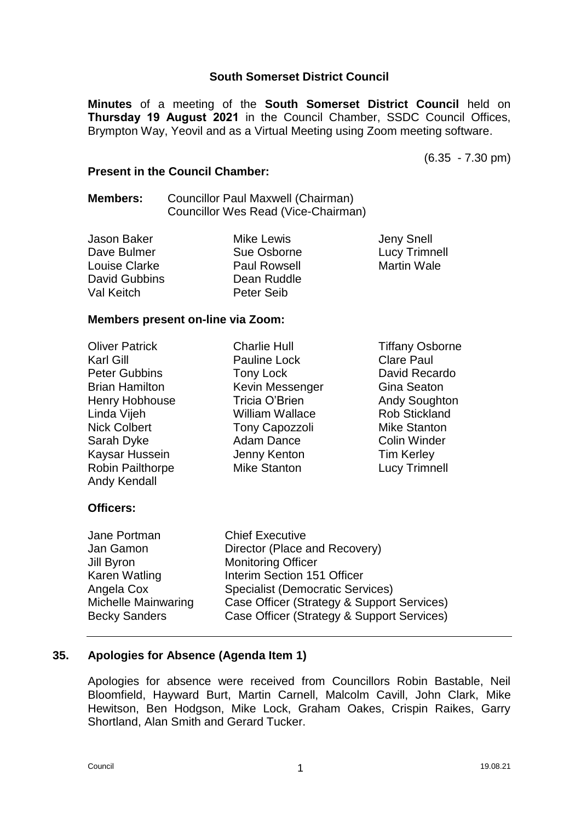## **South Somerset District Council**

**Minutes** of a meeting of the **South Somerset District Council** held on **Thursday 19 August 2021** in the Council Chamber, SSDC Council Offices, Brympton Way, Yeovil and as a Virtual Meeting using Zoom meeting software.

(6.35 - 7.30 pm)

## **Present in the Council Chamber:**

## **Members:** Councillor Paul Maxwell (Chairman) Councillor Wes Read (Vice-Chairman)

| Jason Baker   | <b>Mike Lewis</b>   | Jeny Snell           |
|---------------|---------------------|----------------------|
| Dave Bulmer   | Sue Osborne         | <b>Lucy Trimnell</b> |
| Louise Clarke | <b>Paul Rowsell</b> | <b>Martin Wale</b>   |
| David Gubbins | Dean Ruddle         |                      |
| Val Keitch    | Peter Seib          |                      |

#### **Members present on-line via Zoom:**

| <b>Oliver Patrick</b><br>Karl Gill<br><b>Peter Gubbins</b><br><b>Brian Hamilton</b><br>Henry Hobhouse<br>Linda Vijeh<br><b>Nick Colbert</b><br>Sarah Dyke<br>Kaysar Hussein<br>Robin Pailthorpe<br><b>Andy Kendall</b> | <b>Charlie Hull</b><br><b>Pauline Lock</b><br>Tony Lock<br>Kevin Messenger<br>Tricia O'Brien<br><b>William Wallace</b><br><b>Tony Capozzoli</b><br><b>Adam Dance</b><br>Jenny Kenton<br><b>Mike Stanton</b> | <b>Tiffany Osborne</b><br><b>Clare Paul</b><br>David Recardo<br>Gina Seaton<br><b>Andy Soughton</b><br><b>Rob Stickland</b><br><b>Mike Stanton</b><br><b>Colin Winder</b><br><b>Tim Kerley</b><br><b>Lucy Trimnell</b> |
|------------------------------------------------------------------------------------------------------------------------------------------------------------------------------------------------------------------------|-------------------------------------------------------------------------------------------------------------------------------------------------------------------------------------------------------------|------------------------------------------------------------------------------------------------------------------------------------------------------------------------------------------------------------------------|
| <b>Officers:</b>                                                                                                                                                                                                       |                                                                                                                                                                                                             |                                                                                                                                                                                                                        |

| Jane Portman            | <b>Chief Executive</b>                                     |
|-------------------------|------------------------------------------------------------|
| Jan Gamon<br>Jill Byron | Director (Place and Recovery)<br><b>Monitoring Officer</b> |
| Karen Watling           | Interim Section 151 Officer                                |
| Angela Cox              | <b>Specialist (Democratic Services)</b>                    |
| Michelle Mainwaring     | Case Officer (Strategy & Support Services)                 |
| <b>Becky Sanders</b>    | Case Officer (Strategy & Support Services)                 |

## **35. Apologies for Absence (Agenda Item 1)**

Apologies for absence were received from Councillors Robin Bastable, Neil Bloomfield, Hayward Burt, Martin Carnell, Malcolm Cavill, John Clark, Mike Hewitson, Ben Hodgson, Mike Lock, Graham Oakes, Crispin Raikes, Garry Shortland, Alan Smith and Gerard Tucker.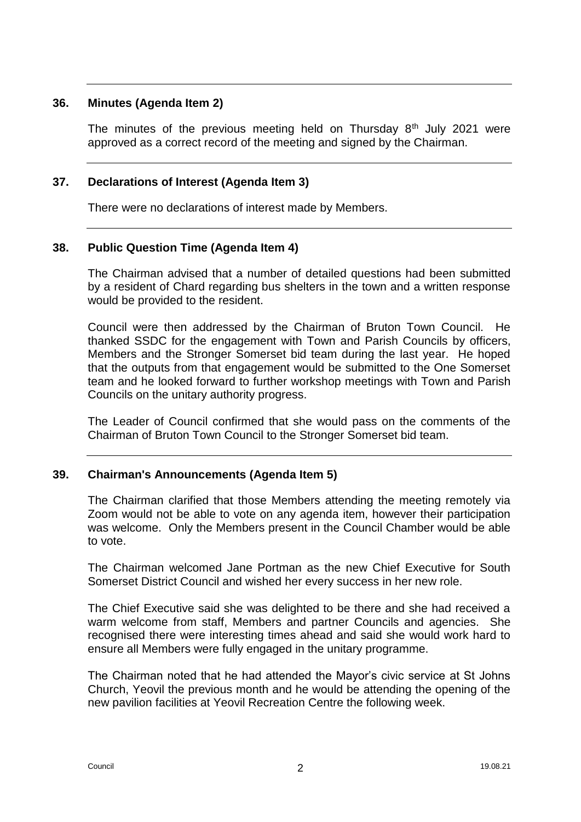## **36. Minutes (Agenda Item 2)**

The minutes of the previous meeting held on Thursday  $8<sup>th</sup>$  July 2021 were approved as a correct record of the meeting and signed by the Chairman.

## **37. Declarations of Interest (Agenda Item 3)**

There were no declarations of interest made by Members.

## **38. Public Question Time (Agenda Item 4)**

The Chairman advised that a number of detailed questions had been submitted by a resident of Chard regarding bus shelters in the town and a written response would be provided to the resident.

Council were then addressed by the Chairman of Bruton Town Council. He thanked SSDC for the engagement with Town and Parish Councils by officers, Members and the Stronger Somerset bid team during the last year. He hoped that the outputs from that engagement would be submitted to the One Somerset team and he looked forward to further workshop meetings with Town and Parish Councils on the unitary authority progress.

The Leader of Council confirmed that she would pass on the comments of the Chairman of Bruton Town Council to the Stronger Somerset bid team.

## **39. Chairman's Announcements (Agenda Item 5)**

The Chairman clarified that those Members attending the meeting remotely via Zoom would not be able to vote on any agenda item, however their participation was welcome. Only the Members present in the Council Chamber would be able to vote.

The Chairman welcomed Jane Portman as the new Chief Executive for South Somerset District Council and wished her every success in her new role.

The Chief Executive said she was delighted to be there and she had received a warm welcome from staff, Members and partner Councils and agencies. She recognised there were interesting times ahead and said she would work hard to ensure all Members were fully engaged in the unitary programme.

The Chairman noted that he had attended the Mayor's civic service at St Johns Church, Yeovil the previous month and he would be attending the opening of the new pavilion facilities at Yeovil Recreation Centre the following week.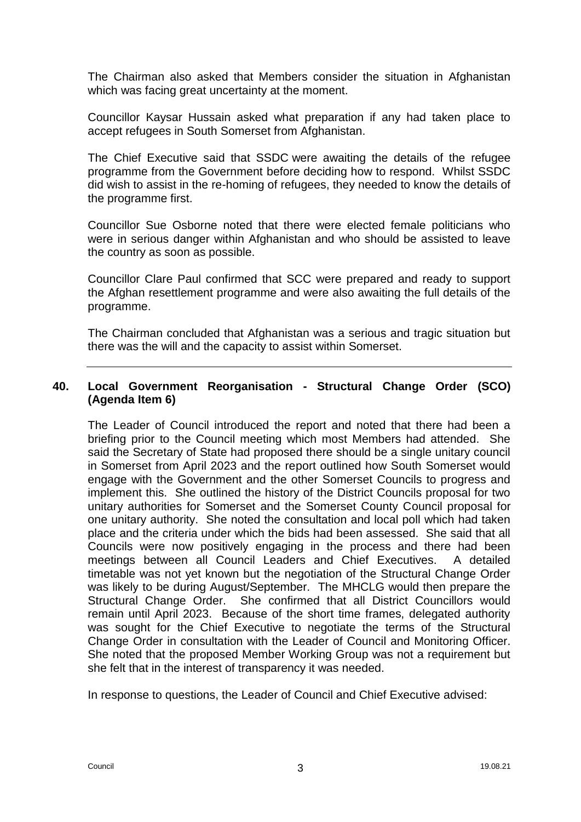The Chairman also asked that Members consider the situation in Afghanistan which was facing great uncertainty at the moment.

Councillor Kaysar Hussain asked what preparation if any had taken place to accept refugees in South Somerset from Afghanistan.

The Chief Executive said that SSDC were awaiting the details of the refugee programme from the Government before deciding how to respond. Whilst SSDC did wish to assist in the re-homing of refugees, they needed to know the details of the programme first.

Councillor Sue Osborne noted that there were elected female politicians who were in serious danger within Afghanistan and who should be assisted to leave the country as soon as possible.

Councillor Clare Paul confirmed that SCC were prepared and ready to support the Afghan resettlement programme and were also awaiting the full details of the programme.

The Chairman concluded that Afghanistan was a serious and tragic situation but there was the will and the capacity to assist within Somerset.

# **40. Local Government Reorganisation - Structural Change Order (SCO) (Agenda Item 6)**

The Leader of Council introduced the report and noted that there had been a briefing prior to the Council meeting which most Members had attended. She said the Secretary of State had proposed there should be a single unitary council in Somerset from April 2023 and the report outlined how South Somerset would engage with the Government and the other Somerset Councils to progress and implement this. She outlined the history of the District Councils proposal for two unitary authorities for Somerset and the Somerset County Council proposal for one unitary authority. She noted the consultation and local poll which had taken place and the criteria under which the bids had been assessed. She said that all Councils were now positively engaging in the process and there had been meetings between all Council Leaders and Chief Executives. A detailed timetable was not yet known but the negotiation of the Structural Change Order was likely to be during August/September. The MHCLG would then prepare the Structural Change Order. She confirmed that all District Councillors would remain until April 2023. Because of the short time frames, delegated authority was sought for the Chief Executive to negotiate the terms of the Structural Change Order in consultation with the Leader of Council and Monitoring Officer. She noted that the proposed Member Working Group was not a requirement but she felt that in the interest of transparency it was needed.

In response to questions, the Leader of Council and Chief Executive advised: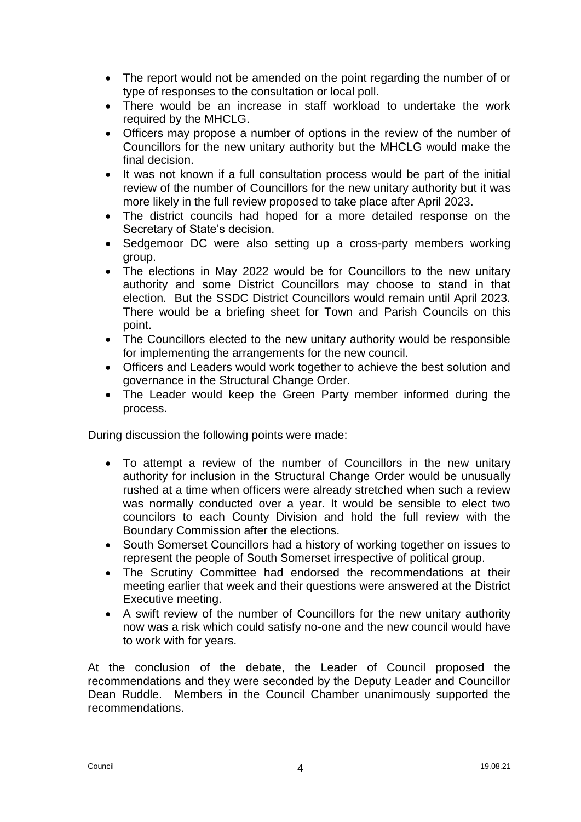- The report would not be amended on the point regarding the number of or type of responses to the consultation or local poll.
- There would be an increase in staff workload to undertake the work required by the MHCLG.
- Officers may propose a number of options in the review of the number of Councillors for the new unitary authority but the MHCLG would make the final decision.
- It was not known if a full consultation process would be part of the initial review of the number of Councillors for the new unitary authority but it was more likely in the full review proposed to take place after April 2023.
- The district councils had hoped for a more detailed response on the Secretary of State's decision.
- Sedgemoor DC were also setting up a cross-party members working group.
- The elections in May 2022 would be for Councillors to the new unitary authority and some District Councillors may choose to stand in that election. But the SSDC District Councillors would remain until April 2023. There would be a briefing sheet for Town and Parish Councils on this point.
- The Councillors elected to the new unitary authority would be responsible for implementing the arrangements for the new council.
- Officers and Leaders would work together to achieve the best solution and governance in the Structural Change Order.
- The Leader would keep the Green Party member informed during the process.

During discussion the following points were made:

- To attempt a review of the number of Councillors in the new unitary authority for inclusion in the Structural Change Order would be unusually rushed at a time when officers were already stretched when such a review was normally conducted over a year. It would be sensible to elect two councilors to each County Division and hold the full review with the Boundary Commission after the elections.
- South Somerset Councillors had a history of working together on issues to represent the people of South Somerset irrespective of political group.
- The Scrutiny Committee had endorsed the recommendations at their meeting earlier that week and their questions were answered at the District Executive meeting.
- A swift review of the number of Councillors for the new unitary authority now was a risk which could satisfy no-one and the new council would have to work with for years.

At the conclusion of the debate, the Leader of Council proposed the recommendations and they were seconded by the Deputy Leader and Councillor Dean Ruddle. Members in the Council Chamber unanimously supported the recommendations.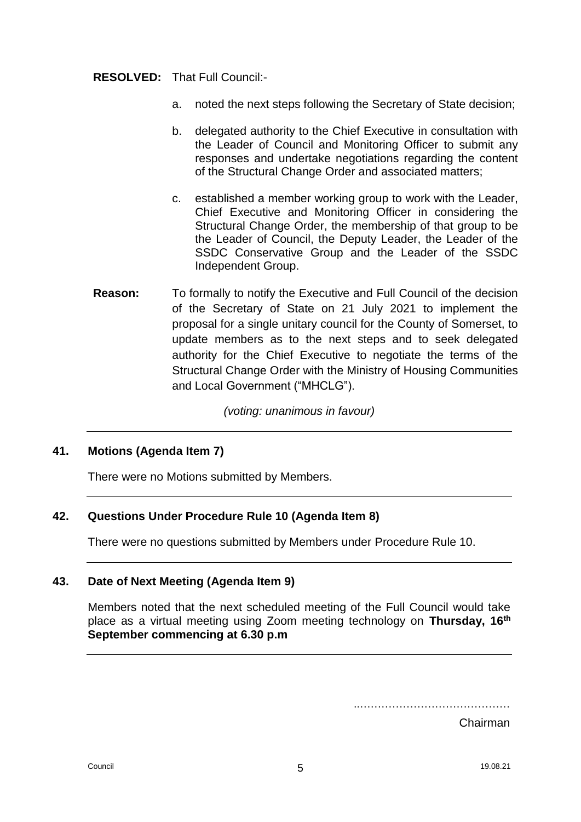## **RESOLVED:** That Full Council:-

- a. noted the next steps following the Secretary of State decision;
- b. delegated authority to the Chief Executive in consultation with the Leader of Council and Monitoring Officer to submit any responses and undertake negotiations regarding the content of the Structural Change Order and associated matters;
- c. established a member working group to work with the Leader, Chief Executive and Monitoring Officer in considering the Structural Change Order, the membership of that group to be the Leader of Council, the Deputy Leader, the Leader of the SSDC Conservative Group and the Leader of the SSDC Independent Group.
- **Reason:** To formally to notify the Executive and Full Council of the decision of the Secretary of State on 21 July 2021 to implement the proposal for a single unitary council for the County of Somerset, to update members as to the next steps and to seek delegated authority for the Chief Executive to negotiate the terms of the Structural Change Order with the Ministry of Housing Communities and Local Government ("MHCLG").

*(voting: unanimous in favour)*

## **41. Motions (Agenda Item 7)**

There were no Motions submitted by Members.

## **42. Questions Under Procedure Rule 10 (Agenda Item 8)**

There were no questions submitted by Members under Procedure Rule 10.

## **43. Date of Next Meeting (Agenda Item 9)**

Members noted that the next scheduled meeting of the Full Council would take place as a virtual meeting using Zoom meeting technology on **Thursday, 16th September commencing at 6.30 p.m**

..……………………………………

Chairman